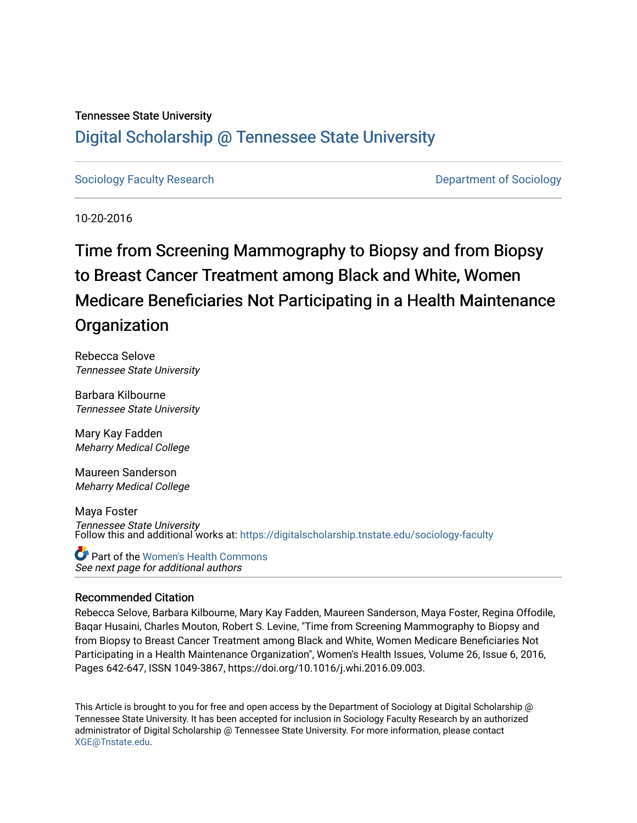#### Tennessee State University

### [Digital Scholarship @ Tennessee State University](https://digitalscholarship.tnstate.edu/)

[Sociology Faculty Research](https://digitalscholarship.tnstate.edu/sociology-faculty) **Department of Sociology Department of Sociology** 

10-20-2016

## Time from Screening Mammography to Biopsy and from Biopsy to Breast Cancer Treatment among Black and White, Women Medicare Beneficiaries Not Participating in a Health Maintenance **Organization**

Rebecca Selove Tennessee State University

Barbara Kilbourne Tennessee State University

Mary Kay Fadden Meharry Medical College

Maureen Sanderson Meharry Medical College

Maya Foster Tennessee State University Follow this and additional works at: [https://digitalscholarship.tnstate.edu/sociology-faculty](https://digitalscholarship.tnstate.edu/sociology-faculty?utm_source=digitalscholarship.tnstate.edu%2Fsociology-faculty%2F5&utm_medium=PDF&utm_campaign=PDFCoverPages) 

See next page for additional authors Part of the [Women's Health Commons](http://network.bepress.com/hgg/discipline/1241?utm_source=digitalscholarship.tnstate.edu%2Fsociology-faculty%2F5&utm_medium=PDF&utm_campaign=PDFCoverPages)

#### Recommended Citation

Rebecca Selove, Barbara Kilbourne, Mary Kay Fadden, Maureen Sanderson, Maya Foster, Regina Offodile, Baqar Husaini, Charles Mouton, Robert S. Levine, "Time from Screening Mammography to Biopsy and from Biopsy to Breast Cancer Treatment among Black and White, Women Medicare Beneficiaries Not Participating in a Health Maintenance Organization", Women's Health Issues, Volume 26, Issue 6, 2016, Pages 642-647, ISSN 1049-3867, https://doi.org/10.1016/j.whi.2016.09.003.

This Article is brought to you for free and open access by the Department of Sociology at Digital Scholarship @ Tennessee State University. It has been accepted for inclusion in Sociology Faculty Research by an authorized administrator of Digital Scholarship @ Tennessee State University. For more information, please contact [XGE@Tnstate.edu](mailto:XGE@Tnstate.edu).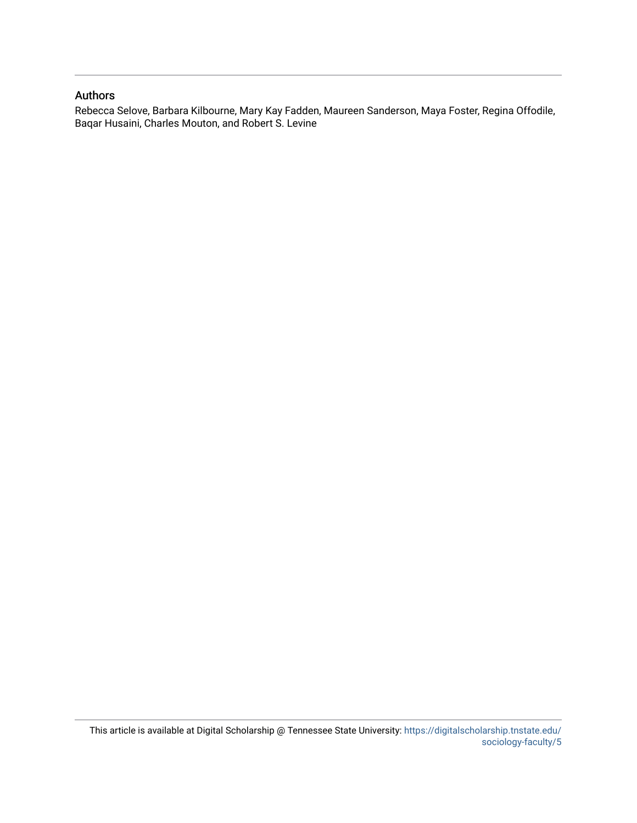#### Authors

Rebecca Selove, Barbara Kilbourne, Mary Kay Fadden, Maureen Sanderson, Maya Foster, Regina Offodile, Baqar Husaini, Charles Mouton, and Robert S. Levine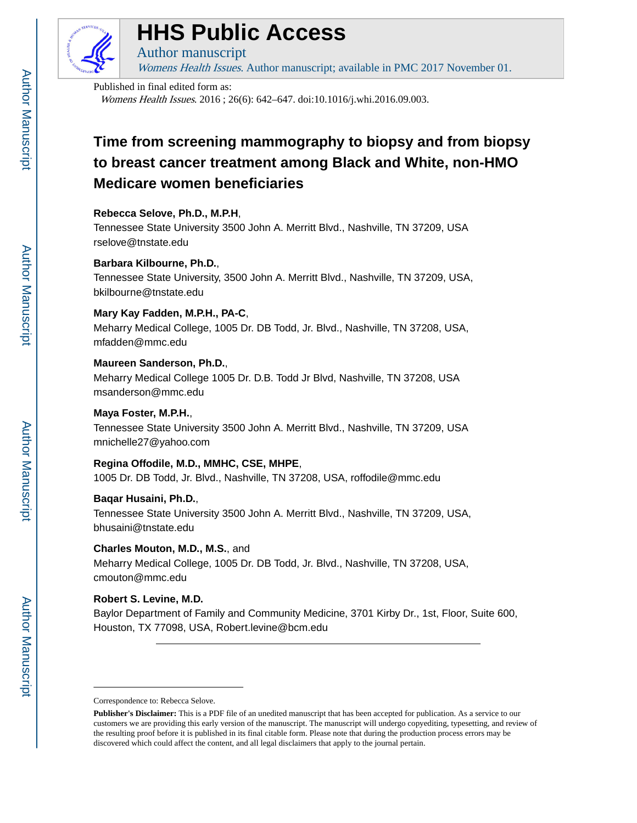

## **HHS Public Access**

Womens Health Issues. Author manuscript; available in PMC 2017 November 01.

#### Published in final edited form as:

Author manuscript

Womens Health Issues. 2016 ; 26(6): 642–647. doi:10.1016/j.whi.2016.09.003.

## **Time from screening mammography to biopsy and from biopsy to breast cancer treatment among Black and White, non-HMO Medicare women beneficiaries**

#### **Rebecca Selove, Ph.D., M.P.H**,

Tennessee State University 3500 John A. Merritt Blvd., Nashville, TN 37209, USA rselove@tnstate.edu

#### **Barbara Kilbourne, Ph.D.**,

Tennessee State University, 3500 John A. Merritt Blvd., Nashville, TN 37209, USA, bkilbourne@tnstate.edu

#### **Mary Kay Fadden, M.P.H., PA-C**,

Meharry Medical College, 1005 Dr. DB Todd, Jr. Blvd., Nashville, TN 37208, USA, mfadden@mmc.edu

#### **Maureen Sanderson, Ph.D.**,

Meharry Medical College 1005 Dr. D.B. Todd Jr Blvd, Nashville, TN 37208, USA msanderson@mmc.edu

#### **Maya Foster, M.P.H.**,

Tennessee State University 3500 John A. Merritt Blvd., Nashville, TN 37209, USA mnichelle27@yahoo.com

#### **Regina Offodile, M.D., MMHC, CSE, MHPE**,

1005 Dr. DB Todd, Jr. Blvd., Nashville, TN 37208, USA, roffodile@mmc.edu

#### **Baqar Husaini, Ph.D.**,

Tennessee State University 3500 John A. Merritt Blvd., Nashville, TN 37209, USA, bhusaini@tnstate.edu

#### **Charles Mouton, M.D., M.S.**, and

Meharry Medical College, 1005 Dr. DB Todd, Jr. Blvd., Nashville, TN 37208, USA, cmouton@mmc.edu

#### **Robert S. Levine, M.D.**

Baylor Department of Family and Community Medicine, 3701 Kirby Dr., 1st, Floor, Suite 600, Houston, TX 77098, USA, Robert.levine@bcm.edu

Correspondence to: Rebecca Selove.

**Publisher's Disclaimer:** This is a PDF file of an unedited manuscript that has been accepted for publication. As a service to our customers we are providing this early version of the manuscript. The manuscript will undergo copyediting, typesetting, and review of the resulting proof before it is published in its final citable form. Please note that during the production process errors may be discovered which could affect the content, and all legal disclaimers that apply to the journal pertain.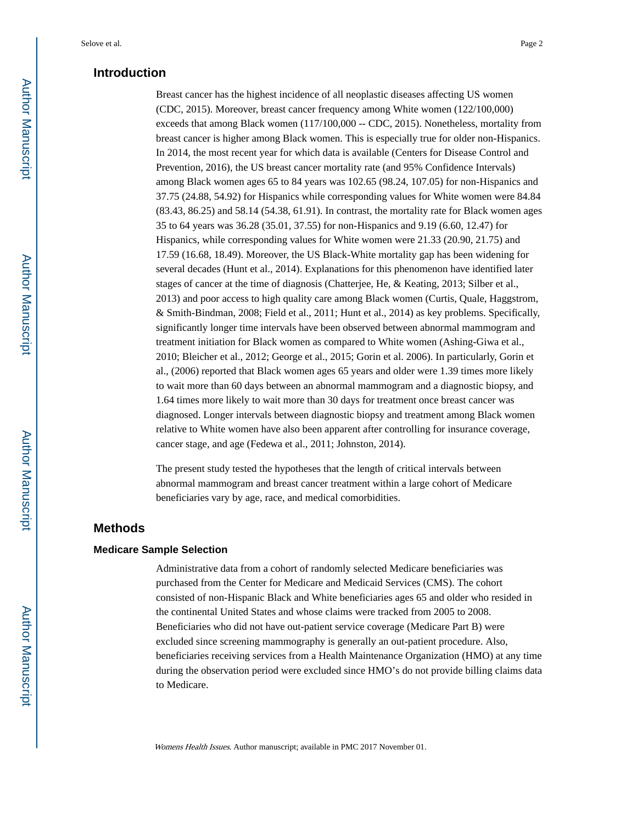#### **Introduction**

Breast cancer has the highest incidence of all neoplastic diseases affecting US women (CDC, 2015). Moreover, breast cancer frequency among White women (122/100,000) exceeds that among Black women (117/100,000 -- CDC, 2015). Nonetheless, mortality from breast cancer is higher among Black women. This is especially true for older non-Hispanics. In 2014, the most recent year for which data is available (Centers for Disease Control and Prevention, 2016), the US breast cancer mortality rate (and 95% Confidence Intervals) among Black women ages 65 to 84 years was 102.65 (98.24, 107.05) for non-Hispanics and 37.75 (24.88, 54.92) for Hispanics while corresponding values for White women were 84.84 (83.43, 86.25) and 58.14 (54.38, 61.91). In contrast, the mortality rate for Black women ages 35 to 64 years was 36.28 (35.01, 37.55) for non-Hispanics and 9.19 (6.60, 12.47) for Hispanics, while corresponding values for White women were 21.33 (20.90, 21.75) and 17.59 (16.68, 18.49). Moreover, the US Black-White mortality gap has been widening for several decades (Hunt et al., 2014). Explanations for this phenomenon have identified later stages of cancer at the time of diagnosis (Chatterjee, He, & Keating, 2013; Silber et al., 2013) and poor access to high quality care among Black women (Curtis, Quale, Haggstrom, & Smith-Bindman, 2008; Field et al., 2011; Hunt et al., 2014) as key problems. Specifically, significantly longer time intervals have been observed between abnormal mammogram and treatment initiation for Black women as compared to White women (Ashing-Giwa et al., 2010; Bleicher et al., 2012; George et al., 2015; Gorin et al. 2006). In particularly, Gorin et al., (2006) reported that Black women ages 65 years and older were 1.39 times more likely to wait more than 60 days between an abnormal mammogram and a diagnostic biopsy, and 1.64 times more likely to wait more than 30 days for treatment once breast cancer was diagnosed. Longer intervals between diagnostic biopsy and treatment among Black women relative to White women have also been apparent after controlling for insurance coverage, cancer stage, and age (Fedewa et al., 2011; Johnston, 2014).

The present study tested the hypotheses that the length of critical intervals between abnormal mammogram and breast cancer treatment within a large cohort of Medicare beneficiaries vary by age, race, and medical comorbidities.

#### **Methods**

#### **Medicare Sample Selection**

Administrative data from a cohort of randomly selected Medicare beneficiaries was purchased from the Center for Medicare and Medicaid Services (CMS). The cohort consisted of non-Hispanic Black and White beneficiaries ages 65 and older who resided in the continental United States and whose claims were tracked from 2005 to 2008. Beneficiaries who did not have out-patient service coverage (Medicare Part B) were excluded since screening mammography is generally an out-patient procedure. Also, beneficiaries receiving services from a Health Maintenance Organization (HMO) at any time during the observation period were excluded since HMO's do not provide billing claims data to Medicare.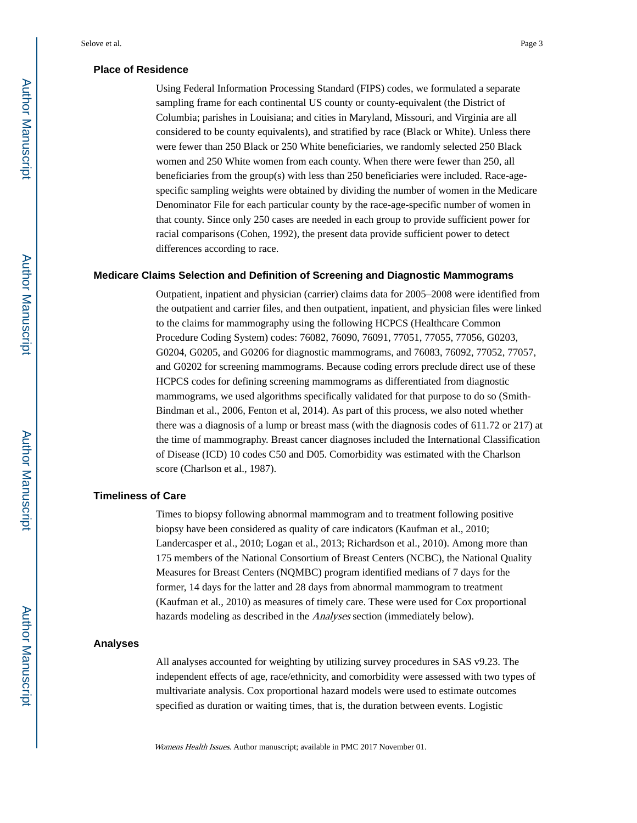#### **Place of Residence**

Using Federal Information Processing Standard (FIPS) codes, we formulated a separate sampling frame for each continental US county or county-equivalent (the District of Columbia; parishes in Louisiana; and cities in Maryland, Missouri, and Virginia are all considered to be county equivalents), and stratified by race (Black or White). Unless there were fewer than 250 Black or 250 White beneficiaries, we randomly selected 250 Black women and 250 White women from each county. When there were fewer than 250, all beneficiaries from the group(s) with less than 250 beneficiaries were included. Race-agespecific sampling weights were obtained by dividing the number of women in the Medicare Denominator File for each particular county by the race-age-specific number of women in that county. Since only 250 cases are needed in each group to provide sufficient power for racial comparisons (Cohen, 1992), the present data provide sufficient power to detect differences according to race.

#### **Medicare Claims Selection and Definition of Screening and Diagnostic Mammograms**

Outpatient, inpatient and physician (carrier) claims data for 2005–2008 were identified from the outpatient and carrier files, and then outpatient, inpatient, and physician files were linked to the claims for mammography using the following HCPCS (Healthcare Common Procedure Coding System) codes: 76082, 76090, 76091, 77051, 77055, 77056, G0203, G0204, G0205, and G0206 for diagnostic mammograms, and 76083, 76092, 77052, 77057, and G0202 for screening mammograms. Because coding errors preclude direct use of these HCPCS codes for defining screening mammograms as differentiated from diagnostic mammograms, we used algorithms specifically validated for that purpose to do so (Smith-Bindman et al., 2006, Fenton et al, 2014). As part of this process, we also noted whether there was a diagnosis of a lump or breast mass (with the diagnosis codes of 611.72 or 217) at the time of mammography. Breast cancer diagnoses included the International Classification of Disease (ICD) 10 codes C50 and D05. Comorbidity was estimated with the Charlson score (Charlson et al., 1987).

#### **Timeliness of Care**

Times to biopsy following abnormal mammogram and to treatment following positive biopsy have been considered as quality of care indicators (Kaufman et al., 2010; Landercasper et al., 2010; Logan et al., 2013; Richardson et al., 2010). Among more than 175 members of the National Consortium of Breast Centers (NCBC), the National Quality Measures for Breast Centers (NQMBC) program identified medians of 7 days for the former, 14 days for the latter and 28 days from abnormal mammogram to treatment (Kaufman et al., 2010) as measures of timely care. These were used for Cox proportional hazards modeling as described in the Analyses section (immediately below).

#### **Analyses**

All analyses accounted for weighting by utilizing survey procedures in SAS v9.23. The independent effects of age, race/ethnicity, and comorbidity were assessed with two types of multivariate analysis. Cox proportional hazard models were used to estimate outcomes specified as duration or waiting times, that is, the duration between events. Logistic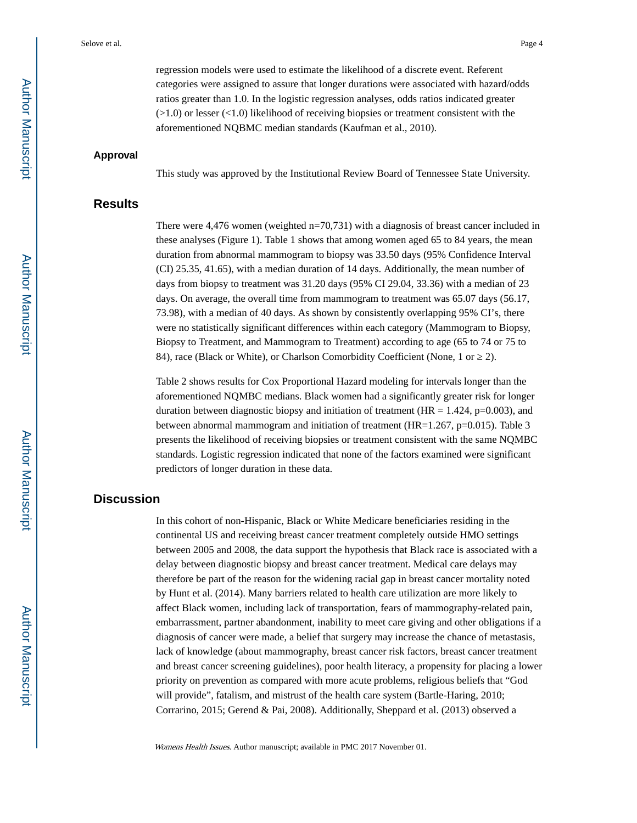regression models were used to estimate the likelihood of a discrete event. Referent categories were assigned to assure that longer durations were associated with hazard/odds ratios greater than 1.0. In the logistic regression analyses, odds ratios indicated greater (>1.0) or lesser (<1.0) likelihood of receiving biopsies or treatment consistent with the aforementioned NQBMC median standards (Kaufman et al., 2010).

#### **Approval**

This study was approved by the Institutional Review Board of Tennessee State University.

#### **Results**

There were 4,476 women (weighted n=70,731) with a diagnosis of breast cancer included in these analyses (Figure 1). Table 1 shows that among women aged 65 to 84 years, the mean duration from abnormal mammogram to biopsy was 33.50 days (95% Confidence Interval (CI) 25.35, 41.65), with a median duration of 14 days. Additionally, the mean number of days from biopsy to treatment was 31.20 days (95% CI 29.04, 33.36) with a median of 23 days. On average, the overall time from mammogram to treatment was 65.07 days (56.17, 73.98), with a median of 40 days. As shown by consistently overlapping 95% CI's, there were no statistically significant differences within each category (Mammogram to Biopsy, Biopsy to Treatment, and Mammogram to Treatment) according to age (65 to 74 or 75 to 84), race (Black or White), or Charlson Comorbidity Coefficient (None, 1 or 2).

Table 2 shows results for Cox Proportional Hazard modeling for intervals longer than the aforementioned NQMBC medians. Black women had a significantly greater risk for longer duration between diagnostic biopsy and initiation of treatment ( $HR = 1.424$ , p=0.003), and between abnormal mammogram and initiation of treatment ( $HR=1.267$ , p=0.015). Table 3 presents the likelihood of receiving biopsies or treatment consistent with the same NQMBC standards. Logistic regression indicated that none of the factors examined were significant predictors of longer duration in these data.

#### **Discussion**

In this cohort of non-Hispanic, Black or White Medicare beneficiaries residing in the continental US and receiving breast cancer treatment completely outside HMO settings between 2005 and 2008, the data support the hypothesis that Black race is associated with a delay between diagnostic biopsy and breast cancer treatment. Medical care delays may therefore be part of the reason for the widening racial gap in breast cancer mortality noted by Hunt et al. (2014). Many barriers related to health care utilization are more likely to affect Black women, including lack of transportation, fears of mammography-related pain, embarrassment, partner abandonment, inability to meet care giving and other obligations if a diagnosis of cancer were made, a belief that surgery may increase the chance of metastasis, lack of knowledge (about mammography, breast cancer risk factors, breast cancer treatment and breast cancer screening guidelines), poor health literacy, a propensity for placing a lower priority on prevention as compared with more acute problems, religious beliefs that "God will provide", fatalism, and mistrust of the health care system (Bartle-Haring, 2010; Corrarino, 2015; Gerend & Pai, 2008). Additionally, Sheppard et al. (2013) observed a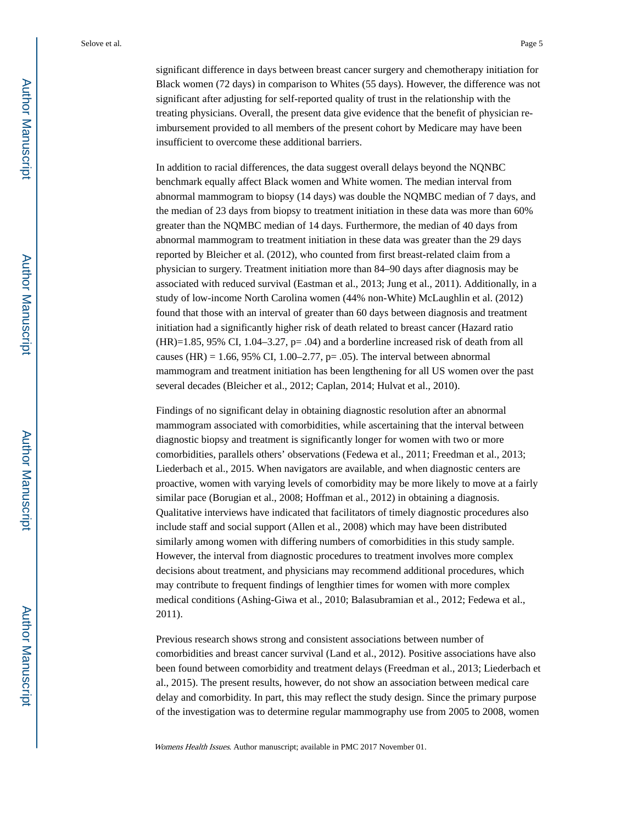significant difference in days between breast cancer surgery and chemotherapy initiation for Black women (72 days) in comparison to Whites (55 days). However, the difference was not significant after adjusting for self-reported quality of trust in the relationship with the treating physicians. Overall, the present data give evidence that the benefit of physician reimbursement provided to all members of the present cohort by Medicare may have been insufficient to overcome these additional barriers.

In addition to racial differences, the data suggest overall delays beyond the NQNBC benchmark equally affect Black women and White women. The median interval from abnormal mammogram to biopsy (14 days) was double the NQMBC median of 7 days, and the median of 23 days from biopsy to treatment initiation in these data was more than 60% greater than the NQMBC median of 14 days. Furthermore, the median of 40 days from abnormal mammogram to treatment initiation in these data was greater than the 29 days reported by Bleicher et al. (2012), who counted from first breast-related claim from a physician to surgery. Treatment initiation more than 84–90 days after diagnosis may be associated with reduced survival (Eastman et al., 2013; Jung et al., 2011). Additionally, in a study of low-income North Carolina women (44% non-White) McLaughlin et al. (2012) found that those with an interval of greater than 60 days between diagnosis and treatment initiation had a significantly higher risk of death related to breast cancer (Hazard ratio  $(HR)=1.85$ , 95% CI, 1.04–3.27, p= .04) and a borderline increased risk of death from all causes (HR) = 1.66, 95% CI, 1.00–2.77, p= .05). The interval between abnormal mammogram and treatment initiation has been lengthening for all US women over the past several decades (Bleicher et al., 2012; Caplan, 2014; Hulvat et al., 2010).

Findings of no significant delay in obtaining diagnostic resolution after an abnormal mammogram associated with comorbidities, while ascertaining that the interval between diagnostic biopsy and treatment is significantly longer for women with two or more comorbidities, parallels others' observations (Fedewa et al., 2011; Freedman et al., 2013; Liederbach et al., 2015. When navigators are available, and when diagnostic centers are proactive, women with varying levels of comorbidity may be more likely to move at a fairly similar pace (Borugian et al., 2008; Hoffman et al., 2012) in obtaining a diagnosis. Qualitative interviews have indicated that facilitators of timely diagnostic procedures also include staff and social support (Allen et al., 2008) which may have been distributed similarly among women with differing numbers of comorbidities in this study sample. However, the interval from diagnostic procedures to treatment involves more complex decisions about treatment, and physicians may recommend additional procedures, which may contribute to frequent findings of lengthier times for women with more complex medical conditions (Ashing-Giwa et al., 2010; Balasubramian et al., 2012; Fedewa et al., 2011).

Previous research shows strong and consistent associations between number of comorbidities and breast cancer survival (Land et al., 2012). Positive associations have also been found between comorbidity and treatment delays (Freedman et al., 2013; Liederbach et al., 2015). The present results, however, do not show an association between medical care delay and comorbidity. In part, this may reflect the study design. Since the primary purpose of the investigation was to determine regular mammography use from 2005 to 2008, women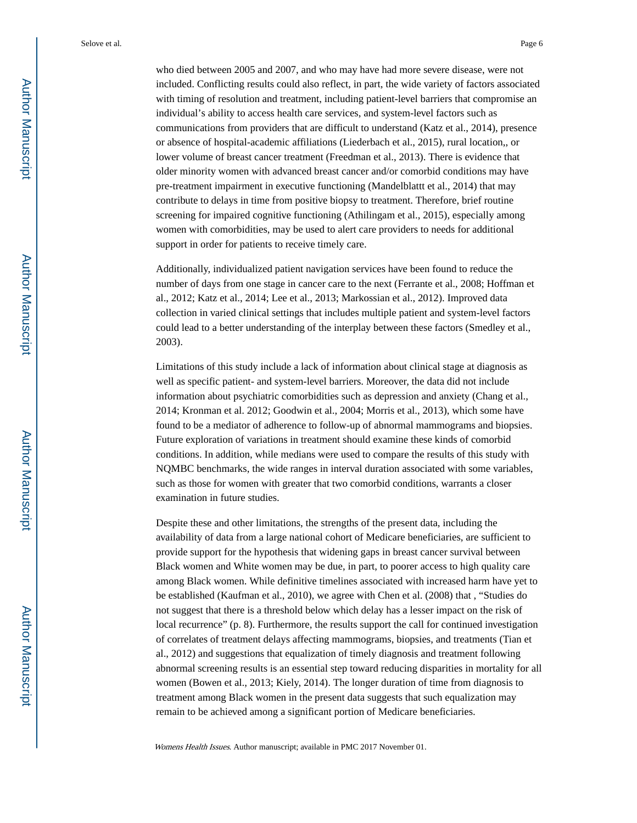who died between 2005 and 2007, and who may have had more severe disease, were not included. Conflicting results could also reflect, in part, the wide variety of factors associated with timing of resolution and treatment, including patient-level barriers that compromise an individual's ability to access health care services, and system-level factors such as communications from providers that are difficult to understand (Katz et al., 2014), presence or absence of hospital-academic affiliations (Liederbach et al., 2015), rural location,, or lower volume of breast cancer treatment (Freedman et al., 2013). There is evidence that older minority women with advanced breast cancer and/or comorbid conditions may have pre-treatment impairment in executive functioning (Mandelblattt et al., 2014) that may contribute to delays in time from positive biopsy to treatment. Therefore, brief routine screening for impaired cognitive functioning (Athilingam et al., 2015), especially among women with comorbidities, may be used to alert care providers to needs for additional support in order for patients to receive timely care.

Additionally, individualized patient navigation services have been found to reduce the number of days from one stage in cancer care to the next (Ferrante et al., 2008; Hoffman et al., 2012; Katz et al., 2014; Lee et al., 2013; Markossian et al., 2012). Improved data collection in varied clinical settings that includes multiple patient and system-level factors could lead to a better understanding of the interplay between these factors (Smedley et al., 2003).

Limitations of this study include a lack of information about clinical stage at diagnosis as well as specific patient- and system-level barriers. Moreover, the data did not include information about psychiatric comorbidities such as depression and anxiety (Chang et al., 2014; Kronman et al. 2012; Goodwin et al., 2004; Morris et al., 2013), which some have found to be a mediator of adherence to follow-up of abnormal mammograms and biopsies. Future exploration of variations in treatment should examine these kinds of comorbid conditions. In addition, while medians were used to compare the results of this study with NQMBC benchmarks, the wide ranges in interval duration associated with some variables, such as those for women with greater that two comorbid conditions, warrants a closer examination in future studies.

Despite these and other limitations, the strengths of the present data, including the availability of data from a large national cohort of Medicare beneficiaries, are sufficient to provide support for the hypothesis that widening gaps in breast cancer survival between Black women and White women may be due, in part, to poorer access to high quality care among Black women. While definitive timelines associated with increased harm have yet to be established (Kaufman et al., 2010), we agree with Chen et al. (2008) that , "Studies do not suggest that there is a threshold below which delay has a lesser impact on the risk of local recurrence" (p. 8). Furthermore, the results support the call for continued investigation of correlates of treatment delays affecting mammograms, biopsies, and treatments (Tian et al., 2012) and suggestions that equalization of timely diagnosis and treatment following abnormal screening results is an essential step toward reducing disparities in mortality for all women (Bowen et al., 2013; Kiely, 2014). The longer duration of time from diagnosis to treatment among Black women in the present data suggests that such equalization may remain to be achieved among a significant portion of Medicare beneficiaries.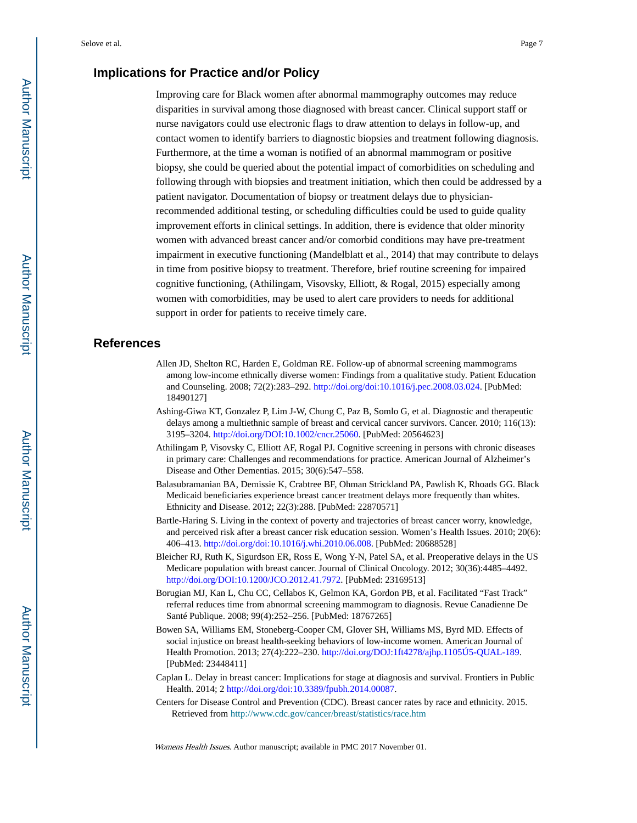#### **Implications for Practice and/or Policy**

Improving care for Black women after abnormal mammography outcomes may reduce disparities in survival among those diagnosed with breast cancer. Clinical support staff or nurse navigators could use electronic flags to draw attention to delays in follow-up, and contact women to identify barriers to diagnostic biopsies and treatment following diagnosis. Furthermore, at the time a woman is notified of an abnormal mammogram or positive biopsy, she could be queried about the potential impact of comorbidities on scheduling and following through with biopsies and treatment initiation, which then could be addressed by a patient navigator. Documentation of biopsy or treatment delays due to physicianrecommended additional testing, or scheduling difficulties could be used to guide quality improvement efforts in clinical settings. In addition, there is evidence that older minority women with advanced breast cancer and/or comorbid conditions may have pre-treatment impairment in executive functioning (Mandelblatt et al., 2014) that may contribute to delays in time from positive biopsy to treatment. Therefore, brief routine screening for impaired cognitive functioning, (Athilingam, Visovsky, Elliott, & Rogal, 2015) especially among women with comorbidities, may be used to alert care providers to needs for additional support in order for patients to receive timely care.

#### **References**

- Allen JD, Shelton RC, Harden E, Goldman RE. Follow-up of abnormal screening mammograms among low-income ethnically diverse women: Findings from a qualitative study. Patient Education and Counseling. 2008; 72(2):283–292.<http://doi.org/doi:10.1016/j.pec.2008.03.024>. [PubMed: 18490127]
- Ashing-Giwa KT, Gonzalez P, Lim J-W, Chung C, Paz B, Somlo G, et al. Diagnostic and therapeutic delays among a multiethnic sample of breast and cervical cancer survivors. Cancer. 2010; 116(13): 3195–3204. [http://doi.org/DOI:10.1002/cncr.25060.](http://doi.org/DOI:10.1002/cncr.25060) [PubMed: 20564623]
- Athilingam P, Visovsky C, Elliott AF, Rogal PJ. Cognitive screening in persons with chronic diseases in primary care: Challenges and recommendations for practice. American Journal of Alzheimer's Disease and Other Dementias. 2015; 30(6):547–558.
- Balasubramanian BA, Demissie K, Crabtree BF, Ohman Strickland PA, Pawlish K, Rhoads GG. Black Medicaid beneficiaries experience breast cancer treatment delays more frequently than whites. Ethnicity and Disease. 2012; 22(3):288. [PubMed: 22870571]
- Bartle-Haring S. Living in the context of poverty and trajectories of breast cancer worry, knowledge, and perceived risk after a breast cancer risk education session. Women's Health Issues. 2010; 20(6): 406–413. [http://doi.org/doi:10.1016/j.whi.2010.06.008.](http://doi.org/doi:10.1016/j.whi.2010.06.008) [PubMed: 20688528]
- Bleicher RJ, Ruth K, Sigurdson ER, Ross E, Wong Y-N, Patel SA, et al. Preoperative delays in the US Medicare population with breast cancer. Journal of Clinical Oncology. 2012; 30(36):4485–4492. [http://doi.org/DOI:10.1200/JCO.2012.41.7972.](http://doi.org/DOI:10.1200/JCO.2012.41.7972) [PubMed: 23169513]
- Borugian MJ, Kan L, Chu CC, Cellabos K, Gelmon KA, Gordon PB, et al. Facilitated "Fast Track" referral reduces time from abnormal screening mammogram to diagnosis. Revue Canadienne De Santé Publique. 2008; 99(4):252–256. [PubMed: 18767265]
- Bowen SA, Williams EM, Stoneberg-Cooper CM, Glover SH, Williams MS, Byrd MD. Effects of social injustice on breast health-seeking behaviors of low-income women. American Journal of Health Promotion. 2013; 27(4):222–230.<http://doi.org/DOJ:1ft4278/ajhp.1105Ú5-QUAL-189>. [PubMed: 23448411]
- Caplan L. Delay in breast cancer: Implications for stage at diagnosis and survival. Frontiers in Public Health. 2014; 2 <http://doi.org/doi:10.3389/fpubh.2014.00087>.
- Centers for Disease Control and Prevention (CDC). Breast cancer rates by race and ethnicity. 2015. Retrieved from <http://www.cdc.gov/cancer/breast/statistics/race.htm>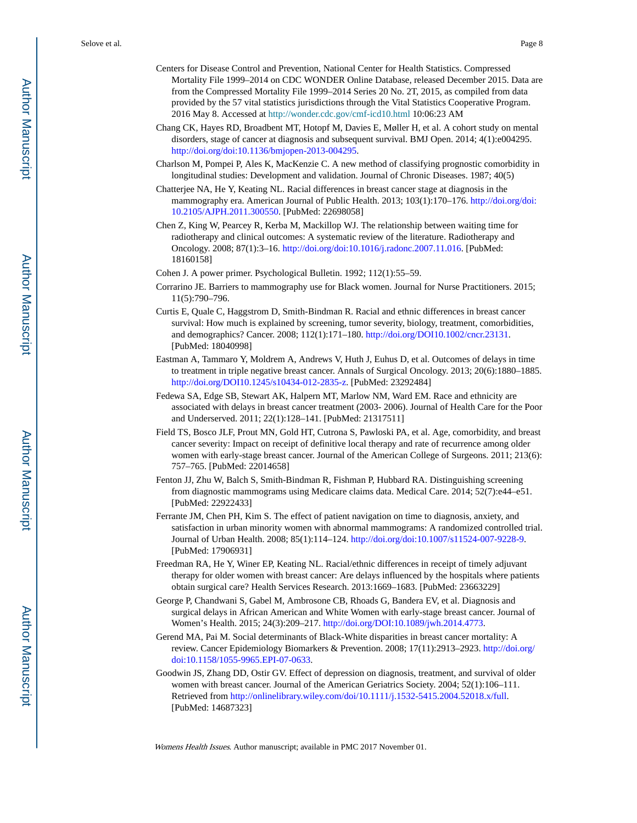- Centers for Disease Control and Prevention, National Center for Health Statistics. Compressed Mortality File 1999–2014 on CDC WONDER Online Database, released December 2015. Data are from the Compressed Mortality File 1999–2014 Series 20 No. 2T, 2015, as compiled from data provided by the 57 vital statistics jurisdictions through the Vital Statistics Cooperative Program. 2016 May 8. Accessed at <http://wonder.cdc.gov/cmf-icd10.html> 10:06:23 AM
- Chang CK, Hayes RD, Broadbent MT, Hotopf M, Davies E, Møller H, et al. A cohort study on mental disorders, stage of cancer at diagnosis and subsequent survival. BMJ Open. 2014; 4(1):e004295. [http://doi.org/doi:10.1136/bmjopen-2013-004295.](http://doi.org/doi:10.1136/bmjopen-2013-004295)
- Charlson M, Pompei P, Ales K, MacKenzie C. A new method of classifying prognostic comorbidity in longitudinal studies: Development and validation. Journal of Chronic Diseases. 1987; 40(5)
- Chatterjee NA, He Y, Keating NL. Racial differences in breast cancer stage at diagnosis in the mammography era. American Journal of Public Health. 2013; 103(1):170–176. [http://doi.org/doi:](http://doi.org/doi:10.2105/AJPH.2011.300550) [10.2105/AJPH.2011.300550.](http://doi.org/doi:10.2105/AJPH.2011.300550) [PubMed: 22698058]
- Chen Z, King W, Pearcey R, Kerba M, Mackillop WJ. The relationship between waiting time for radiotherapy and clinical outcomes: A systematic review of the literature. Radiotherapy and Oncology. 2008; 87(1):3–16. [http://doi.org/doi:10.1016/j.radonc.2007.11.016.](http://doi.org/doi:10.1016/j.radonc.2007.11.016) [PubMed: 18160158]
- Cohen J. A power primer. Psychological Bulletin. 1992; 112(1):55–59.
- Corrarino JE. Barriers to mammography use for Black women. Journal for Nurse Practitioners. 2015; 11(5):790–796.
- Curtis E, Quale C, Haggstrom D, Smith-Bindman R. Racial and ethnic differences in breast cancer survival: How much is explained by screening, tumor severity, biology, treatment, comorbidities, and demographics? Cancer. 2008; 112(1):171–180. [http://doi.org/DOI10.1002/cncr.23131.](http://doi.org/DOI10.1002/cncr.23131) [PubMed: 18040998]
- Eastman A, Tammaro Y, Moldrem A, Andrews V, Huth J, Euhus D, et al. Outcomes of delays in time to treatment in triple negative breast cancer. Annals of Surgical Oncology. 2013; 20(6):1880–1885. [http://doi.org/DOI10.1245/s10434-012-2835-z.](http://doi.org/DOI10.1245/s10434-012-2835-z) [PubMed: 23292484]
- Fedewa SA, Edge SB, Stewart AK, Halpern MT, Marlow NM, Ward EM. Race and ethnicity are associated with delays in breast cancer treatment (2003- 2006). Journal of Health Care for the Poor and Underserved. 2011; 22(1):128–141. [PubMed: 21317511]
- Field TS, Bosco JLF, Prout MN, Gold HT, Cutrona S, Pawloski PA, et al. Age, comorbidity, and breast cancer severity: Impact on receipt of definitive local therapy and rate of recurrence among older women with early-stage breast cancer. Journal of the American College of Surgeons. 2011; 213(6): 757–765. [PubMed: 22014658]
- Fenton JJ, Zhu W, Balch S, Smith-Bindman R, Fishman P, Hubbard RA. Distinguishing screening from diagnostic mammograms using Medicare claims data. Medical Care. 2014; 52(7):e44–e51. [PubMed: 22922433]
- Ferrante JM, Chen PH, Kim S. The effect of patient navigation on time to diagnosis, anxiety, and satisfaction in urban minority women with abnormal mammograms: A randomized controlled trial. Journal of Urban Health. 2008; 85(1):114–124. [http://doi.org/doi:10.1007/s11524-007-9228-9.](http://doi.org/doi:10.1007/s11524-007-9228-9) [PubMed: 17906931]
- Freedman RA, He Y, Winer EP, Keating NL. Racial/ethnic differences in receipt of timely adjuvant therapy for older women with breast cancer: Are delays influenced by the hospitals where patients obtain surgical care? Health Services Research. 2013:1669–1683. [PubMed: 23663229]
- George P, Chandwani S, Gabel M, Ambrosone CB, Rhoads G, Bandera EV, et al. Diagnosis and surgical delays in African American and White Women with early-stage breast cancer. Journal of Women's Health. 2015; 24(3):209–217. [http://doi.org/DOI:10.1089/jwh.2014.4773.](http://doi.org/DOI:10.1089/jwh.2014.4773)
- Gerend MA, Pai M. Social determinants of Black-White disparities in breast cancer mortality: A review. Cancer Epidemiology Biomarkers & Prevention. 2008; 17(11):2913–2923. [http://doi.org/](http://doi.org/doi:10.1158/1055-9965.EPI-07-0633) [doi:10.1158/1055-9965.EPI-07-0633](http://doi.org/doi:10.1158/1055-9965.EPI-07-0633).
- Goodwin JS, Zhang DD, Ostir GV. Effect of depression on diagnosis, treatment, and survival of older women with breast cancer. Journal of the American Geriatrics Society. 2004; 52(1):106–111. Retrieved from <http://onlinelibrary.wiley.com/doi/10.1111/j.1532-5415.2004.52018.x/full>. [PubMed: 14687323]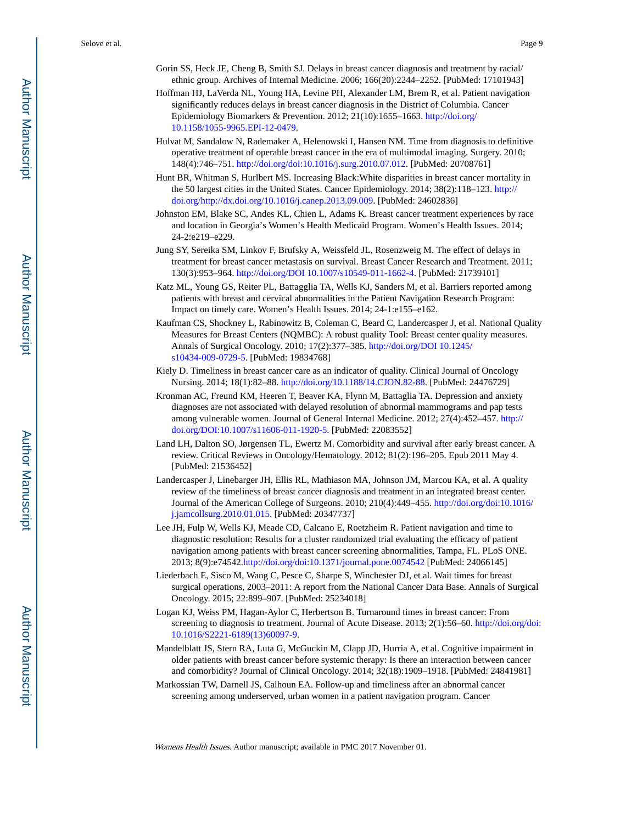- Gorin SS, Heck JE, Cheng B, Smith SJ. Delays in breast cancer diagnosis and treatment by racial/ ethnic group. Archives of Internal Medicine. 2006; 166(20):2244–2252. [PubMed: 17101943]
- Hoffman HJ, LaVerda NL, Young HA, Levine PH, Alexander LM, Brem R, et al. Patient navigation significantly reduces delays in breast cancer diagnosis in the District of Columbia. Cancer Epidemiology Biomarkers & Prevention. 2012; 21(10):1655–1663. [http://doi.org/](http://doi.org/10.1158/1055-9965.EPI-12-0479) [10.1158/1055-9965.EPI-12-0479](http://doi.org/10.1158/1055-9965.EPI-12-0479).
- Hulvat M, Sandalow N, Rademaker A, Helenowski I, Hansen NM. Time from diagnosis to definitive operative treatment of operable breast cancer in the era of multimodal imaging. Surgery. 2010; 148(4):746–751.<http://doi.org/doi:10.1016/j.surg.2010.07.012>. [PubMed: 20708761]
- Hunt BR, Whitman S, Hurlbert MS. Increasing Black:White disparities in breast cancer mortality in the 50 largest cities in the United States. Cancer Epidemiology. 2014; 38(2):118–123. [http://](http://doi.org/http://dx.doi.org/10.1016/j.canep.2013.09.009) [doi.org/http://dx.doi.org/10.1016/j.canep.2013.09.009.](http://doi.org/http://dx.doi.org/10.1016/j.canep.2013.09.009) [PubMed: 24602836]
- Johnston EM, Blake SC, Andes KL, Chien L, Adams K. Breast cancer treatment experiences by race and location in Georgia's Women's Health Medicaid Program. Women's Health Issues. 2014; 24-2:e219–e229.
- Jung SY, Sereika SM, Linkov F, Brufsky A, Weissfeld JL, Rosenzweig M. The effect of delays in treatment for breast cancer metastasis on survival. Breast Cancer Research and Treatment. 2011; 130(3):953–964. [http://doi.org/DOI 10.1007/s10549-011-1662-4](http://doi.org/DOI10.1007/s10549-011-1662-4). [PubMed: 21739101]
- Katz ML, Young GS, Reiter PL, Battagglia TA, Wells KJ, Sanders M, et al. Barriers reported among patients with breast and cervical abnormalities in the Patient Navigation Research Program: Impact on timely care. Women's Health Issues. 2014; 24-1:e155–e162.
- Kaufman CS, Shockney L, Rabinowitz B, Coleman C, Beard C, Landercasper J, et al. National Quality Measures for Breast Centers (NQMBC): A robust quality Tool: Breast center quality measures. Annals of Surgical Oncology. 2010; 17(2):377–385. [http://doi.org/DOI 10.1245/](http://doi.org/DOI10.1245/s10434-009-0729-5) [s10434-009-0729-5.](http://doi.org/DOI10.1245/s10434-009-0729-5) [PubMed: 19834768]
- Kiely D. Timeliness in breast cancer care as an indicator of quality. Clinical Journal of Oncology Nursing. 2014; 18(1):82–88. [http://doi.org/10.1188/14.CJON.82-88.](http://doi.org/10.1188/14.CJON.82-88) [PubMed: 24476729]
- Kronman AC, Freund KM, Heeren T, Beaver KA, Flynn M, Battaglia TA. Depression and anxiety diagnoses are not associated with delayed resolution of abnormal mammograms and pap tests among vulnerable women. Journal of General Internal Medicine. 2012; 27(4):452–457. [http://](http://doi.org/DOI:10.1007/s11606-011-1920-5) [doi.org/DOI:10.1007/s11606-011-1920-5](http://doi.org/DOI:10.1007/s11606-011-1920-5). [PubMed: 22083552]
- Land LH, Dalton SO, Jørgensen TL, Ewertz M. Comorbidity and survival after early breast cancer. A review. Critical Reviews in Oncology/Hematology. 2012; 81(2):196–205. Epub 2011 May 4. [PubMed: 21536452]
- Landercasper J, Linebarger JH, Ellis RL, Mathiason MA, Johnson JM, Marcou KA, et al. A quality review of the timeliness of breast cancer diagnosis and treatment in an integrated breast center. Journal of the American College of Surgeons. 2010; 210(4):449–455. [http://doi.org/doi:10.1016/](http://doi.org/doi:10.1016/j.jamcollsurg.2010.01.015) [j.jamcollsurg.2010.01.015](http://doi.org/doi:10.1016/j.jamcollsurg.2010.01.015). [PubMed: 20347737]
- Lee JH, Fulp W, Wells KJ, Meade CD, Calcano E, Roetzheim R. Patient navigation and time to diagnostic resolution: Results for a cluster randomized trial evaluating the efficacy of patient navigation among patients with breast cancer screening abnormalities, Tampa, FL. PLoS ONE. 2013; 8(9):e74542.<http://doi.org/doi:10.1371/journal.pone.0074542> [PubMed: 24066145]
- Liederbach E, Sisco M, Wang C, Pesce C, Sharpe S, Winchester DJ, et al. Wait times for breast surgical operations, 2003–2011: A report from the National Cancer Data Base. Annals of Surgical Oncology. 2015; 22:899–907. [PubMed: 25234018]
- Logan KJ, Weiss PM, Hagan-Aylor C, Herbertson B. Turnaround times in breast cancer: From screening to diagnosis to treatment. Journal of Acute Disease. 2013; 2(1):56–60. [http://doi.org/doi:](http://doi.org/doi:10.1016/S2221-6189(13)60097-9) [10.1016/S2221-6189\(13\)60097-9.](http://doi.org/doi:10.1016/S2221-6189(13)60097-9)
- Mandelblatt JS, Stern RA, Luta G, McGuckin M, Clapp JD, Hurria A, et al. Cognitive impairment in older patients with breast cancer before systemic therapy: Is there an interaction between cancer and comorbidity? Journal of Clinical Oncology. 2014; 32(18):1909–1918. [PubMed: 24841981]
- Markossian TW, Darnell JS, Calhoun EA. Follow-up and timeliness after an abnormal cancer screening among underserved, urban women in a patient navigation program. Cancer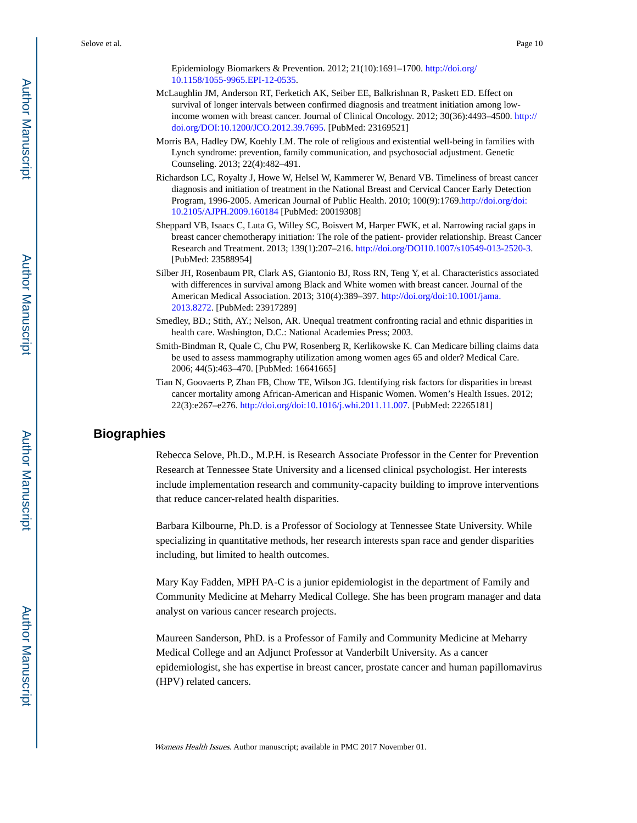Epidemiology Biomarkers & Prevention. 2012; 21(10):1691–1700. [http://doi.org/](http://doi.org/10.1158/1055-9965.EPI-12-0535) [10.1158/1055-9965.EPI-12-0535](http://doi.org/10.1158/1055-9965.EPI-12-0535).

- McLaughlin JM, Anderson RT, Ferketich AK, Seiber EE, Balkrishnan R, Paskett ED. Effect on survival of longer intervals between confirmed diagnosis and treatment initiation among lowincome women with breast cancer. Journal of Clinical Oncology. 2012; 30(36):4493–4500. [http://](http://doi.org/DOI:10.1200/JCO.2012.39.7695) [doi.org/DOI:10.1200/JCO.2012.39.7695](http://doi.org/DOI:10.1200/JCO.2012.39.7695). [PubMed: 23169521]
- Morris BA, Hadley DW, Koehly LM. The role of religious and existential well-being in families with Lynch syndrome: prevention, family communication, and psychosocial adjustment. Genetic Counseling. 2013; 22(4):482–491.
- Richardson LC, Royalty J, Howe W, Helsel W, Kammerer W, Benard VB. Timeliness of breast cancer diagnosis and initiation of treatment in the National Breast and Cervical Cancer Early Detection Program, 1996-2005. American Journal of Public Health. 2010; 100(9):1769[.http://doi.org/doi:](http://doi.org/doi:10.2105/AJPH.2009.160184) [10.2105/AJPH.2009.160184](http://doi.org/doi:10.2105/AJPH.2009.160184) [PubMed: 20019308]
- Sheppard VB, Isaacs C, Luta G, Willey SC, Boisvert M, Harper FWK, et al. Narrowing racial gaps in breast cancer chemotherapy initiation: The role of the patient- provider relationship. Breast Cancer Research and Treatment. 2013; 139(1):207–216. <http://doi.org/DOI10.1007/s10549-013-2520-3>. [PubMed: 23588954]
- Silber JH, Rosenbaum PR, Clark AS, Giantonio BJ, Ross RN, Teng Y, et al. Characteristics associated with differences in survival among Black and White women with breast cancer. Journal of the American Medical Association. 2013; 310(4):389–397. [http://doi.org/doi:10.1001/jama.](http://doi.org/doi:10.1001/jama.2013.8272) [2013.8272](http://doi.org/doi:10.1001/jama.2013.8272). [PubMed: 23917289]
- Smedley, BD.; Stith, AY.; Nelson, AR. Unequal treatment confronting racial and ethnic disparities in health care. Washington, D.C.: National Academies Press; 2003.
- Smith-Bindman R, Quale C, Chu PW, Rosenberg R, Kerlikowske K. Can Medicare billing claims data be used to assess mammography utilization among women ages 65 and older? Medical Care. 2006; 44(5):463–470. [PubMed: 16641665]
- Tian N, Goovaerts P, Zhan FB, Chow TE, Wilson JG. Identifying risk factors for disparities in breast cancer mortality among African-American and Hispanic Women. Women's Health Issues. 2012; 22(3):e267–e276. [http://doi.org/doi:10.1016/j.whi.2011.11.007.](http://doi.org/doi:10.1016/j.whi.2011.11.007) [PubMed: 22265181]

#### **Biographies**

Rebecca Selove, Ph.D., M.P.H. is Research Associate Professor in the Center for Prevention Research at Tennessee State University and a licensed clinical psychologist. Her interests include implementation research and community-capacity building to improve interventions that reduce cancer-related health disparities.

Barbara Kilbourne, Ph.D. is a Professor of Sociology at Tennessee State University. While specializing in quantitative methods, her research interests span race and gender disparities including, but limited to health outcomes.

Mary Kay Fadden, MPH PA-C is a junior epidemiologist in the department of Family and Community Medicine at Meharry Medical College. She has been program manager and data analyst on various cancer research projects.

Maureen Sanderson, PhD. is a Professor of Family and Community Medicine at Meharry Medical College and an Adjunct Professor at Vanderbilt University. As a cancer epidemiologist, she has expertise in breast cancer, prostate cancer and human papillomavirus (HPV) related cancers.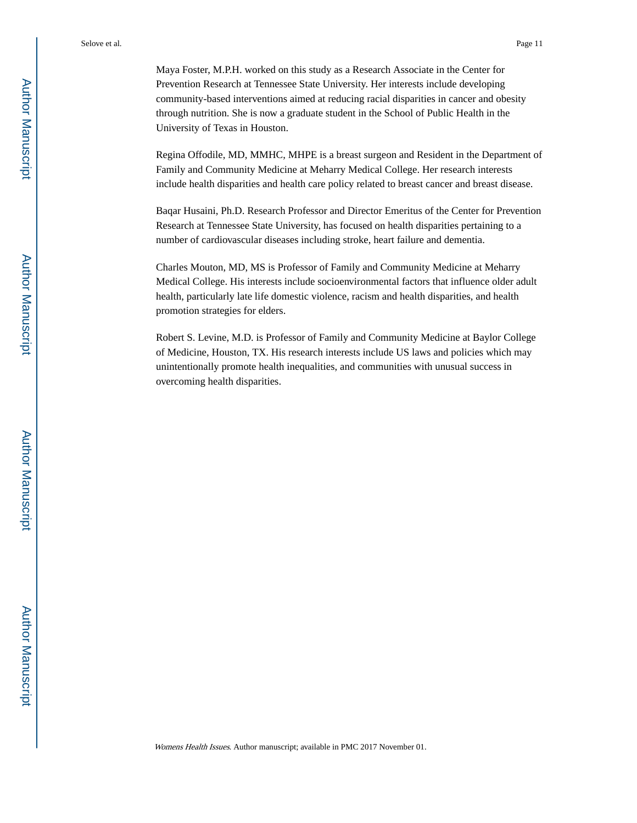Maya Foster, M.P.H. worked on this study as a Research Associate in the Center for Prevention Research at Tennessee State University. Her interests include developing community-based interventions aimed at reducing racial disparities in cancer and obesity through nutrition. She is now a graduate student in the School of Public Health in the University of Texas in Houston.

Regina Offodile, MD, MMHC, MHPE is a breast surgeon and Resident in the Department of Family and Community Medicine at Meharry Medical College. Her research interests include health disparities and health care policy related to breast cancer and breast disease.

Baqar Husaini, Ph.D. Research Professor and Director Emeritus of the Center for Prevention Research at Tennessee State University, has focused on health disparities pertaining to a number of cardiovascular diseases including stroke, heart failure and dementia.

Charles Mouton, MD, MS is Professor of Family and Community Medicine at Meharry Medical College. His interests include socioenvironmental factors that influence older adult health, particularly late life domestic violence, racism and health disparities, and health promotion strategies for elders.

Robert S. Levine, M.D. is Professor of Family and Community Medicine at Baylor College of Medicine, Houston, TX. His research interests include US laws and policies which may unintentionally promote health inequalities, and communities with unusual success in overcoming health disparities.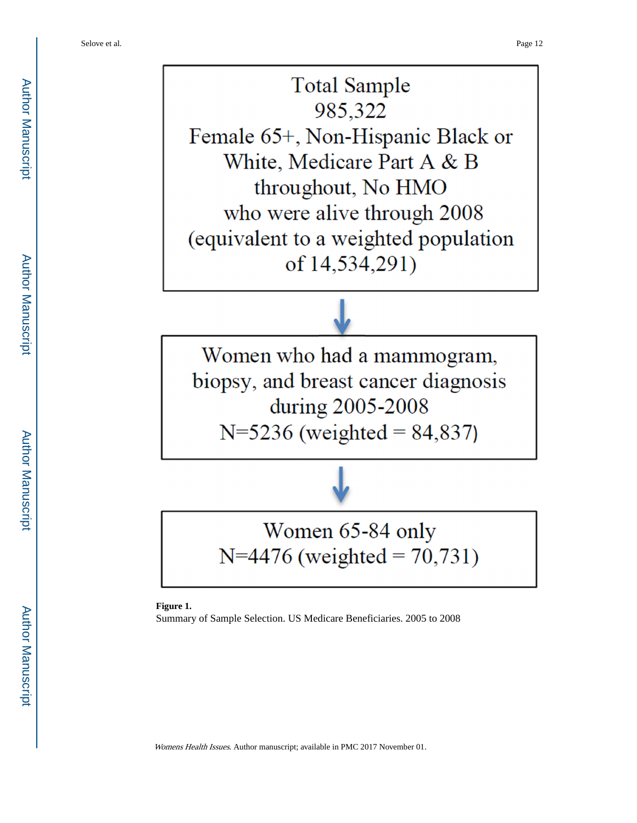**Total Sample** 985,322 Female 65+, Non-Hispanic Black or White, Medicare Part A & B throughout, No HMO who were alive through 2008 (equivalent to a weighted population of 14,534,291)

Women who had a mammogram, biopsy, and breast cancer diagnosis during 2005-2008  $N=5236$  (weighted = 84,837)

# Women 65-84 only N=4476 (weighted =  $70,731$ )

**Figure 1.** 

Summary of Sample Selection. US Medicare Beneficiaries. 2005 to 2008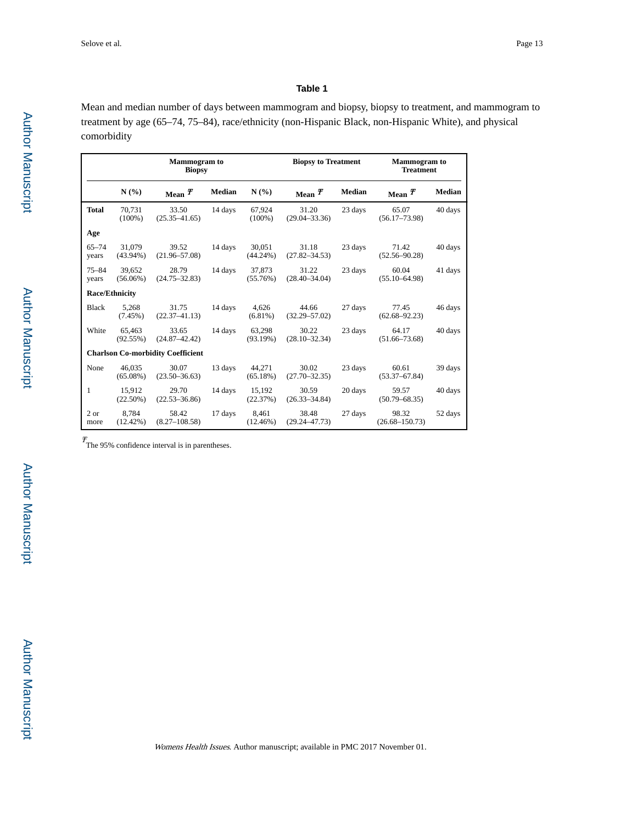#### **Table 1**

Mean and median number of days between mammogram and biopsy, biopsy to treatment, and mammogram to treatment by age (65–74, 75–84), race/ethnicity (non-Hispanic Black, non-Hispanic White), and physical comorbidity

|                    |                       | <b>Mammogram</b> to<br><b>Biopsy</b>     |         |                       | <b>Biopsy to Treatment</b> |         | <b>Mammogram</b> to<br><b>Treatment</b> |               |
|--------------------|-----------------------|------------------------------------------|---------|-----------------------|----------------------------|---------|-----------------------------------------|---------------|
|                    | N(%)                  | Mean $\bm{\tau}$                         | Median  | N(%)                  | Mean $\boldsymbol{\tau}$   | Median  | Mean $\bm{\tau}$                        | <b>Median</b> |
| <b>Total</b>       | 70,731<br>$(100\%)$   | 33.50<br>$(25.35 - 41.65)$               | 14 days | 67,924<br>$(100\%)$   | 31.20<br>$(29.04 - 33.36)$ | 23 days | 65.07<br>$(56.17 - 73.98)$              | 40 days       |
| Age                |                       |                                          |         |                       |                            |         |                                         |               |
| $65 - 74$<br>years | 31,079<br>$(43.94\%)$ | 39.52<br>$(21.96 - 57.08)$               | 14 days | 30.051<br>$(44.24\%)$ | 31.18<br>$(27.82 - 34.53)$ | 23 days | 71.42<br>$(52.56 - 90.28)$              | 40 days       |
| $75 - 84$<br>years | 39.652<br>$(56.06\%)$ | 28.79<br>$(24.75 - 32.83)$               | 14 days | 37.873<br>$(55.76\%)$ | 31.22<br>$(28.40 - 34.04)$ | 23 days | 60.04<br>$(55.10 - 64.98)$              | 41 days       |
|                    | <b>Race/Ethnicity</b> |                                          |         |                       |                            |         |                                         |               |
| <b>Black</b>       | 5,268<br>$(7.45\%)$   | 31.75<br>$(22.37 - 41.13)$               | 14 days | 4,626<br>$(6.81\%)$   | 44.66<br>$(32.29 - 57.02)$ | 27 days | 77.45<br>$(62.68 - 92.23)$              | 46 days       |
| White              | 65,463<br>(92.55%)    | 33.65<br>$(24.87 - 42.42)$               | 14 days | 63,298<br>(93.19%)    | 30.22<br>$(28.10 - 32.34)$ | 23 days | 64.17<br>$(51.66 - 73.68)$              | 40 days       |
|                    |                       | <b>Charlson Co-morbidity Coefficient</b> |         |                       |                            |         |                                         |               |
| None               | 46.035<br>$(65.08\%)$ | 30.07<br>$(23.50 - 36.63)$               | 13 days | 44.271<br>$(65.18\%)$ | 30.02<br>$(27.70 - 32.35)$ | 23 days | 60.61<br>$(53.37 - 67.84)$              | 39 days       |
| $\mathbf{1}$       | 15.912<br>$(22.50\%)$ | 29.70<br>$(22.53 - 36.86)$               | 14 days | 15,192<br>(22.37%)    | 30.59<br>$(26.33 - 34.84)$ | 20 days | 59.57<br>$(50.79 - 68.35)$              | 40 days       |
| 2 or<br>more       | 8.784<br>$(12.42\%)$  | 58.42<br>$(8.27 - 108.58)$               | 17 days | 8.461<br>$(12.46\%)$  | 38.48<br>$(29.24 - 47.73)$ | 27 days | 98.32<br>$(26.68 - 150.73)$             | 52 days       |

 $T_{\text{The 95\% confidence interval is in parentheses.}}$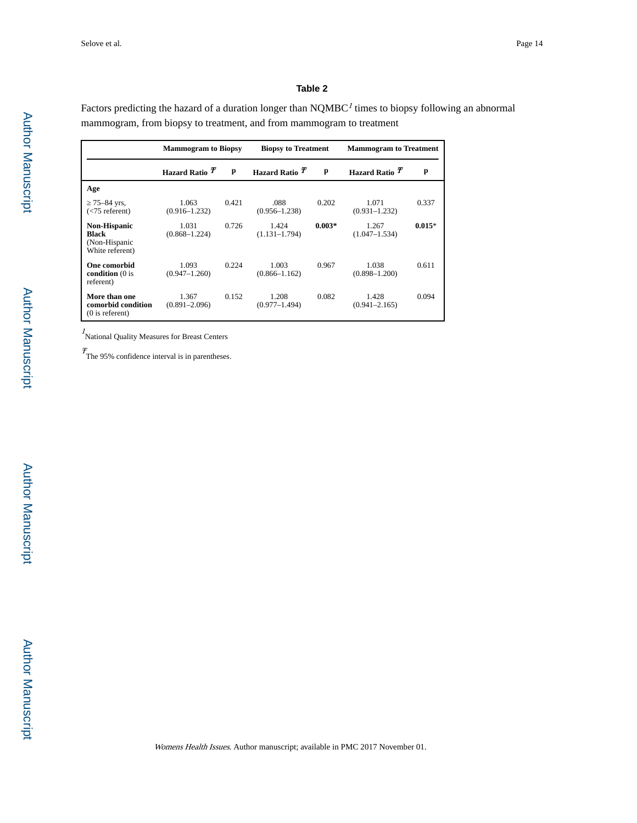#### **Table 2**

Factors predicting the hazard of a duration longer than  $NQMBC<sup>I</sup>$  times to biopsy following an abnormal mammogram, from biopsy to treatment, and from mammogram to treatment

|                                                                  | <b>Mammogram to Biopsy</b>  |       | <b>Biopsy to Treatment</b> |          | <b>Mammogram to Treatment</b> |          |
|------------------------------------------------------------------|-----------------------------|-------|----------------------------|----------|-------------------------------|----------|
|                                                                  | Hazard Ratio $\overline{T}$ | p     | Hazard Ratio <sup>T</sup>  | p        | Hazard Ratio <sup>T</sup>     | p        |
| Age                                                              |                             |       |                            |          |                               |          |
| 75-84 yrs.<br>$(< 75$ referent)                                  | 1.063<br>$(0.916 - 1.232)$  | 0.421 | .088<br>$(0.956 - 1.238)$  | 0.202    | 1.071<br>$(0.931 - 1.232)$    | 0.337    |
| <b>Non-Hispanic</b><br>Black<br>(Non-Hispanic<br>White referent) | 1.031<br>$(0.868 - 1.224)$  | 0.726 | 1.424<br>$(1.131 - 1.794)$ | $0.003*$ | 1.267<br>$(1.047 - 1.534)$    | $0.015*$ |
| <b>One comorbid</b><br>condition $(0)$ is<br>referent)           | 1.093<br>$(0.947 - 1.260)$  | 0.224 | 1.003<br>$(0.866 - 1.162)$ | 0.967    | 1.038<br>$(0.898 - 1.200)$    | 0.611    |
| More than one<br>comorbid condition<br>$(0)$ is referent)        | 1.367<br>$(0.891 - 2.096)$  | 0.152 | 1.208<br>$(0.977 - 1.494)$ | 0.082    | 1.428<br>$(0.941 - 2.165)$    | 0.094    |

<sup>1</sup>National Quality Measures for Breast Centers

Ŧ The 95% confidence interval is in parentheses.